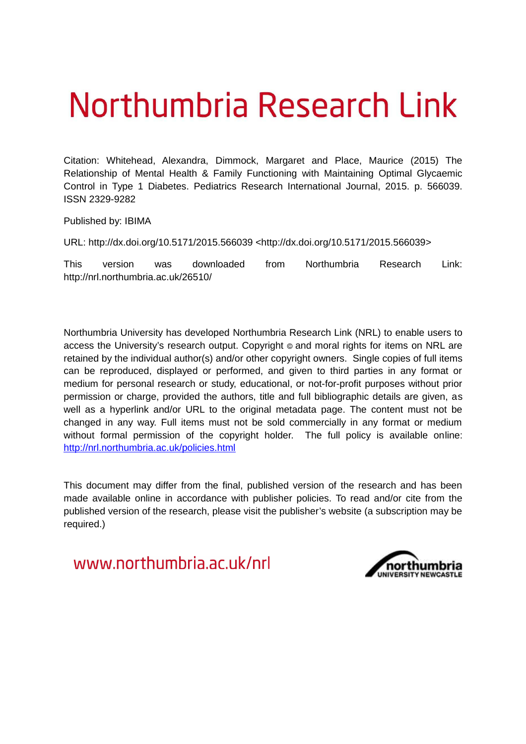# Northumbria Research Link

Citation: Whitehead, Alexandra, Dimmock, Margaret and Place, Maurice (2015) The Relationship of Mental Health & Family Functioning with Maintaining Optimal Glycaemic Control in Type 1 Diabetes. Pediatrics Research International Journal, 2015. p. 566039. ISSN 2329-9282

Published by: IBIMA

URL: http://dx.doi.org/10.5171/2015.566039 <http://dx.doi.org/10.5171/2015.566039>

This version was downloaded from Northumbria Research Link: http://nrl.northumbria.ac.uk/26510/

Northumbria University has developed Northumbria Research Link (NRL) to enable users to access the University's research output. Copyright  $\circ$  and moral rights for items on NRL are retained by the individual author(s) and/or other copyright owners. Single copies of full items can be reproduced, displayed or performed, and given to third parties in any format or medium for personal research or study, educational, or not-for-profit purposes without prior permission or charge, provided the authors, title and full bibliographic details are given, as well as a hyperlink and/or URL to the original metadata page. The content must not be changed in any way. Full items must not be sold commercially in any format or medium without formal permission of the copyright holder. The full policy is available online: <http://nrl.northumbria.ac.uk/policies.html>

This document may differ from the final, published version of the research and has been made available online in accordance with publisher policies. To read and/or cite from the published version of the research, please visit the publisher's website (a subscription may be required.)

www.northumbria.ac.uk/nrl

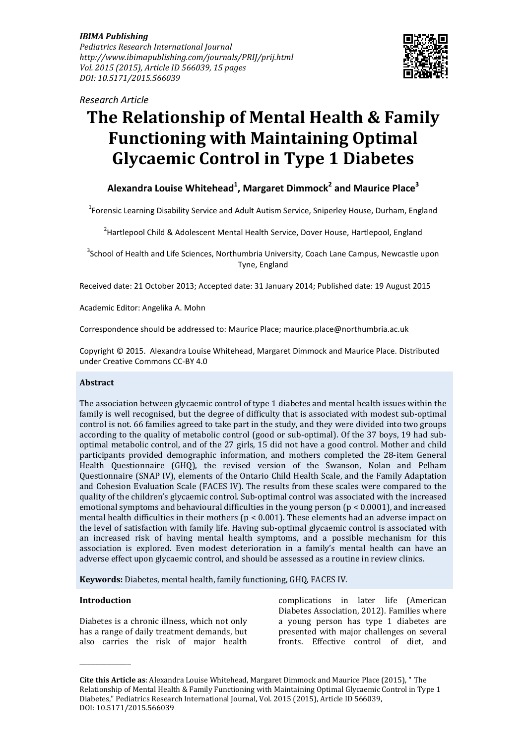*IBIMA Publishing Pediatrics Research International Journal http://www.ibimapublishing.com/journals/PRIJ/prij.html Vol. 2015 (2015), Article ID 566039, 15 pages DOI: 10.5171/2015.566039* 



*Research Article*

# **The Relationship of Mental Health & Family Functioning with Maintaining Optimal Glycaemic Control in Type 1 Diabetes**

# **Alexandra Louise Whitehead<sup>1</sup> , Margaret Dimmock<sup>2</sup> and Maurice Place<sup>3</sup>**

<sup>1</sup>Forensic Learning Disability Service and Adult Autism Service, Sniperley House, Durham, England

<sup>2</sup>Hartlepool Child & Adolescent Mental Health Service, Dover House, Hartlepool, England

<sup>3</sup>School of Health and Life Sciences, Northumbria University, Coach Lane Campus, Newcastle upon Tyne, England

Received date: 21 October 2013; Accepted date: 31 January 2014; Published date: 19 August 2015

Academic Editor: Angelika A. Mohn

Correspondence should be addressed to: Maurice Place; maurice.place@northumbria.ac.uk

Copyright © 2015. Alexandra Louise Whitehead, Margaret Dimmock and Maurice Place. Distributed under Creative Commons CC-BY 4.0

#### **Abstract**

The association between glycaemic control of type 1 diabetes and mental health issues within the family is well recognised, but the degree of difficulty that is associated with modest sub-optimal control is not. 66 families agreed to take part in the study, and they were divided into two groups according to the quality of metabolic control (good or sub-optimal). Of the 37 boys, 19 had suboptimal metabolic control, and of the 27 girls, 15 did not have a good control. Mother and child participants provided demographic information, and mothers completed the 28-item General Health Questionnaire (GHQ), the revised version of the Swanson, Nolan and Pelham Questionnaire (SNAP IV), elements of the Ontario Child Health Scale, and the Family Adaptation and Cohesion Evaluation Scale (FACES IV). The results from these scales were compared to the quality of the children's glycaemic control. Sub-optimal control was associated with the increased emotional symptoms and behavioural difficulties in the young person (p < 0.0001), and increased mental health difficulties in their mothers ( $p < 0.001$ ). These elements had an adverse impact on the level of satisfaction with family life. Having sub-optimal glycaemic control is associated with an increased risk of having mental health symptoms, and a possible mechanism for this association is explored. Even modest deterioration in a family's mental health can have an adverse effect upon glycaemic control, and should be assessed as a routine in review clinics.

**Keywords:** Diabetes, mental health, family functioning, GHQ, FACES IV.

#### **Introduction**

\_\_\_\_\_\_\_\_\_\_\_\_\_

Diabetes is a chronic illness, which not only has a range of daily treatment demands, but also carries the risk of major health

complications in later life (American Diabetes Association, 2012). Families where a young person has type 1 diabetes are presented with major challenges on several fronts. Effective control of diet, and

**Cite this Article as**: Alexandra Louise Whitehead, Margaret Dimmock and Maurice Place (2015), " The Relationship of Mental Health & Family Functioning with Maintaining Optimal Glycaemic Control in Type 1 Diabetes," Pediatrics Research International Journal, Vol. 2015 (2015), Article ID 566039, DOI: 10.5171/2015.566039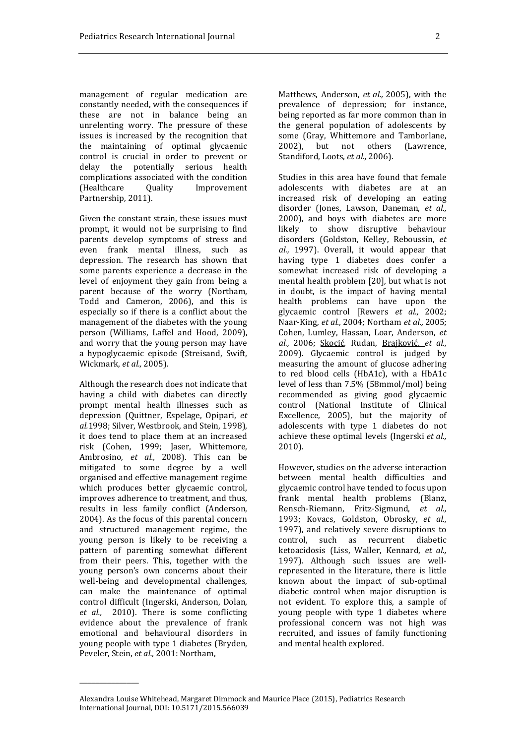management of regular medication are constantly needed, with the consequences if these are not in balance being an unrelenting worry. The pressure of these issues is increased by the recognition that the maintaining of optimal glycaemic control is crucial in order to prevent or delay the potentially serious health complications associated with the condition (Healthcare Quality Improvement Partnership, 2011).

Given the constant strain, these issues must prompt, it would not be surprising to find parents develop symptoms of stress and even frank mental illness, such as depression. The research has shown that some parents experience a decrease in the level of enjoyment they gain from being a parent because of the worry (Northam, Todd and Cameron, 2006), and this is especially so if there is a conflict about the management of the diabetes with the young person (Williams, Laffel and Hood, 2009), and worry that the young person may have a hypoglycaemic episode (Streisand, Swift, Wickmark, *et al.,* 2005).

Although the research does not indicate that having a child with diabetes can directly prompt mental health illnesses such as depression (Quittner, Espelage, Opipari, *et al.*1998; Silver, Westbrook, and Stein, 1998), it does tend to place them at an increased risk (Cohen, 1999; Jaser, Whittemore, Ambrosino, *et al.,* 2008). This can be mitigated to some degree by a well organised and effective management regime which produces better glycaemic control, improves adherence to treatment, and thus, results in less family conflict (Anderson, 2004). As the focus of this parental concern and structured management regime, the young person is likely to be receiving a pattern of parenting somewhat different from their peers. This, together with the young person's own concerns about their well-being and developmental challenges, can make the maintenance of optimal control difficult (Ingerski, Anderson, Dolan, *et al.,* 2010). There is some conflicting evidence about the prevalence of frank emotional and behavioural disorders in young people with type 1 diabetes (Bryden, Peveler, Stein, *et al.,* 2001: Northam,

\_\_\_\_\_\_\_\_\_\_\_\_\_\_\_

Matthews, Anderson, *et al.,* 2005), with the prevalence of depression; for instance, being reported as far more common than in the general population of adolescents by some (Gray, Whittemore and Tamborlane, 2002), but not others (Lawrence, Standiford, Loots, *et al.,* 2006).

Studies in this area have found that female adolescents with diabetes are at an increased risk of developing an eating disorder (Jones, Lawson, Daneman, *et al.,*  2000), and boys with diabetes are more likely to show disruptive behaviour disorders (Goldston, Kelley, Reboussin, *et al.,* 1997). Overall, it would appear that having type 1 diabetes does confer a somewhat increased risk of developing a mental health problem [20], but what is not in doubt, is the impact of having mental health problems can have upon the glycaemic control [Rewers *et al.,* 2002; Naar-King, *et al.,* 2004; Northam *et al.,* 2005; Cohen, Lumley, Hassan, Loar, Anderson, *et al.,* 2006; Skocić, Rudan, Brajković, *et al.,*  2009). Glycaemic control is judged by measuring the amount of glucose adhering to red blood cells (HbA1c), with a HbA1c level of less than 7.5% (58mmol/mol) being recommended as giving good glycaemic control (National Institute of Clinical Excellence, 2005), but the majority of adolescents with type 1 diabetes do not achieve these optimal levels (Ingerski *et al.,*  2010).

However, studies on the adverse interaction between mental health difficulties and glycaemic control have tended to focus upon frank mental health problems (Blanz, Rensch-Riemann, Fritz-Sigmund, *et al.,*  1993; Kovacs, Goldston, Obrosky, *et al.,*  1997), and relatively severe disruptions to control, such as recurrent diabetic ketoacidosis (Liss, Waller, Kennard, *et al.,*  1997). Although such issues are wellrepresented in the literature, there is little known about the impact of sub-optimal diabetic control when major disruption is not evident. To explore this, a sample of young people with type 1 diabetes where professional concern was not high was recruited, and issues of family functioning and mental health explored.

Alexandra Louise Whitehead, Margaret Dimmock and Maurice Place (2015), Pediatrics Research International Journal*,* DOI: 10.5171/2015.566039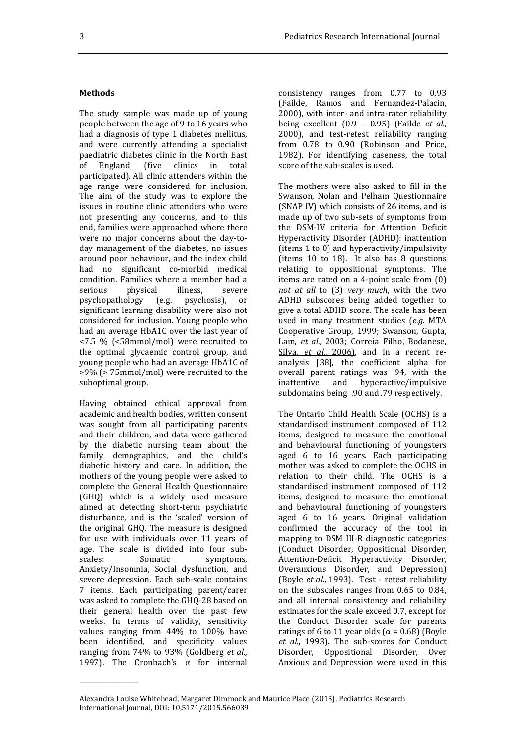#### **Methods**

The study sample was made up of young people between the age of 9 to 16 years who had a diagnosis of type 1 diabetes mellitus, and were currently attending a specialist paediatric diabetes clinic in the North East of England, (five clinics in total participated). All clinic attenders within the age range were considered for inclusion. The aim of the study was to explore the issues in routine clinic attenders who were not presenting any concerns, and to this end, families were approached where there were no major concerns about the day-today management of the diabetes, no issues around poor behaviour, and the index child had no significant co-morbid medical condition. Families where a member had a serious physical illness, severe psychopathology (e.g. psychosis), or significant learning disability were also not considered for inclusion. Young people who had an average HbA1C over the last year of <7.5 % (<58mmol/mol) were recruited to the optimal glycaemic control group, and young people who had an average HbA1C of >9% (> 75mmol/mol) were recruited to the suboptimal group.

Having obtained ethical approval from academic and health bodies, written consent was sought from all participating parents and their children, and data were gathered by the diabetic nursing team about the family demographics, and the child's diabetic history and care. In addition, the mothers of the young people were asked to complete the General Health Questionnaire (GHQ) which is a widely used measure aimed at detecting short-term psychiatric disturbance, and is the 'scaled' version of the original GHQ. The measure is designed for use with individuals over 11 years of age. The scale is divided into four subscales: Somatic symptoms. Anxiety/Insomnia, Social dysfunction, and severe depression. Each sub-scale contains 7 items. Each participating parent/carer was asked to complete the GHQ-28 based on their general health over the past few weeks. In terms of validity, sensitivity values ranging from 44% to 100% have been identified, and specificity values ranging from 74% to 93% (Goldberg *et al.,*  1997). The Cronbach's  $\alpha$  for internal

\_\_\_\_\_\_\_\_\_\_\_\_\_\_\_

consistency ranges from 0.77 to 0.93 (Failde, Ramos and Fernandez-Palacin, 2000), with inter- and intra-rater reliability being excellent (0.9 – 0.95) (Failde *et al.,*  2000), and test-retest reliability ranging from 0.78 to 0.90 (Robinson and Price, 1982). For identifying caseness, the total score of the sub-scales is used.

The mothers were also asked to fill in the Swanson, Nolan and Pelham Questionnaire (SNAP IV) which consists of 26 items, and is made up of two sub-sets of symptoms from the DSM-IV criteria for Attention Deficit Hyperactivity Disorder (ADHD): inattention (items 1 to 0) and hyperactivity/impulsivity (items 10 to 18). It also has 8 questions relating to oppositional symptoms. The items are rated on a 4-point scale from (0) *not at all* to (3) *very much*, with the two ADHD subscores being added together to give a total ADHD score. The scale has been used in many treatment studies (*e.g.* MTA Cooperative Group, 1999; Swanson, Gupta, Lam, *et al.,* 2003; Correia Filho, Bodanese, Silva, *et al.*, 2006), and in a recent reanalysis [38], the coefficient alpha for overall parent ratings was .94, with the inattentive and hyperactive/impulsive subdomains being .90 and .79 respectively.

The Ontario Child Health Scale (OCHS) is a standardised instrument composed of 112 items, designed to measure the emotional and behavioural functioning of youngsters aged 6 to 16 years. Each participating mother was asked to complete the OCHS in relation to their child. The OCHS is a standardised instrument composed of 112 items, designed to measure the emotional and behavioural functioning of youngsters aged 6 to 16 years. Original validation confirmed the accuracy of the tool in mapping to DSM III-R diagnostic categories (Conduct Disorder, Oppositional Disorder, Attention-Deficit Hyperactivity Disorder, Overanxious Disorder, and Depression) (Boyle *et al.,* 1993). Test - retest reliability on the subscales ranges from 0.65 to 0.84, and all internal consistency and reliability estimates for the scale exceed 0.7, except for the Conduct Disorder scale for parents ratings of 6 to 11 year olds ( $\alpha$  = 0.68) (Boyle *et al.,* 1993). The sub-scores for Conduct Disorder, Oppositional Disorder, Over Anxious and Depression were used in this

Alexandra Louise Whitehead, Margaret Dimmock and Maurice Place (2015), Pediatrics Research International Journal*,* DOI: 10.5171/2015.566039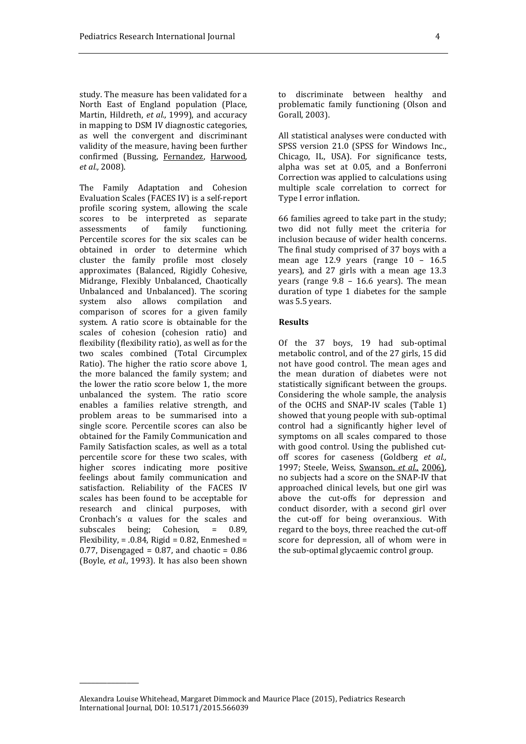study. The measure has been validated for a North East of England population (Place, Martin, Hildreth, *et al.,* 1999), and accuracy in mapping to DSM IV diagnostic categories, as well the convergent and discriminant validity of the measure, having been further confirmed (Bussing, Fernandez, Harwood, *et al.,* 2008).

The Family Adaptation and Cohesion Evaluation Scales (FACES IV) is a self-report profile scoring system, allowing the scale scores to be interpreted as separate assessments of family functioning. Percentile scores for the six scales can be obtained in order to determine which cluster the family profile most closely approximates (Balanced, Rigidly Cohesive, Midrange, Flexibly Unbalanced, Chaotically Unbalanced and Unbalanced). The scoring system also allows compilation and comparison of scores for a given family system. A ratio score is obtainable for the scales of cohesion (cohesion ratio) and flexibility (flexibility ratio), as well as for the two scales combined (Total Circumplex Ratio). The higher the ratio score above 1, the more balanced the family system; and the lower the ratio score below 1, the more unbalanced the system. The ratio score enables a families relative strength, and problem areas to be summarised into a single score. Percentile scores can also be obtained for the Family Communication and Family Satisfaction scales, as well as a total percentile score for these two scales, with higher scores indicating more positive feelings about family communication and satisfaction. Reliability of the FACES IV scales has been found to be acceptable for research and clinical purposes, with Cronbach's α values for the scales and subscales being; Cohesion, = 0.89, Flexibility,  $= .0.84$ . Rigid  $= 0.82$ . Enmeshed  $=$ 0.77, Disengaged =  $0.87$ , and chaotic =  $0.86$ (Boyle, *et al.,* 1993). It has also been shown

\_\_\_\_\_\_\_\_\_\_\_\_\_\_\_

All statistical analyses were conducted with SPSS version 21.0 (SPSS for Windows Inc., Chicago, IL, USA). For significance tests, alpha was set at 0.05, and a Bonferroni Correction was applied to calculations using multiple scale correlation to correct for Type I error inflation.

66 families agreed to take part in the study; two did not fully meet the criteria for inclusion because of wider health concerns. The final study comprised of 37 boys with a mean age  $12.9$  years (range  $10 - 16.5$ years), and 27 girls with a mean age 13.3 years (range 9.8 – 16.6 years). The mean duration of type 1 diabetes for the sample was 5.5 years.

#### **Results**

Of the 37 boys, 19 had sub-optimal metabolic control, and of the 27 girls, 15 did not have good control. The mean ages and the mean duration of diabetes were not statistically significant between the groups. Considering the whole sample, the analysis of the OCHS and SNAP-IV scales (Table 1) showed that young people with sub-optimal control had a significantly higher level of symptoms on all scales compared to those with good control. Using the published cutoff scores for caseness (Goldberg *et al.,* 1997; Steele, Weiss, Swanson, *et al.,* 2006), no subjects had a score on the SNAP-IV that approached clinical levels, but one girl was above the cut-offs for depression and conduct disorder, with a second girl over the cut-off for being overanxious. With regard to the boys, three reached the cut-off score for depression, all of whom were in the sub-optimal glycaemic control group.

Alexandra Louise Whitehead, Margaret Dimmock and Maurice Place (2015), Pediatrics Research International Journal*,* DOI: 10.5171/2015.566039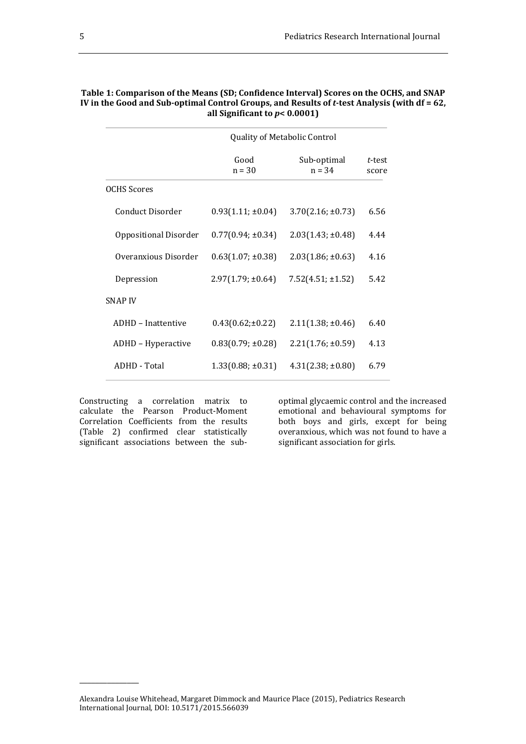|                       | Quality of Metabolic Control |                         |                 |  |  |  |  |  |
|-----------------------|------------------------------|-------------------------|-----------------|--|--|--|--|--|
|                       | Good<br>$n = 30$             | Sub-optimal<br>$n = 34$ | t-test<br>score |  |  |  |  |  |
| <b>OCHS</b> Scores    |                              |                         |                 |  |  |  |  |  |
| Conduct Disorder      | $0.93(1.11; \pm 0.04)$       | $3.70(2.16; \pm 0.73)$  | 6.56            |  |  |  |  |  |
| Oppositional Disorder | $0.77(0.94; \pm 0.34)$       | $2.03(1.43; \pm 0.48)$  | 4.44            |  |  |  |  |  |
| Overanxious Disorder  | $0.63(1.07; \pm 0.38)$       | $2.03(1.86; \pm 0.63)$  | 4.16            |  |  |  |  |  |
| Depression            | $2.97(1.79; \pm 0.64)$       | $7.52(4.51; \pm 1.52)$  | 5.42            |  |  |  |  |  |
| <b>SNAP IV</b>        |                              |                         |                 |  |  |  |  |  |
| ADHD - Inattentive    | $0.43(0.62;\pm 0.22)$        | $2.11(1.38; \pm 0.46)$  | 6.40            |  |  |  |  |  |
| ADHD - Hyperactive    | $0.83(0.79; \pm 0.28)$       | $2.21(1.76; \pm 0.59)$  | 4.13            |  |  |  |  |  |
| ADHD - Total          | $1.33(0.88; \pm 0.31)$       | $4.31(2.38; \pm 0.80)$  | 6.79            |  |  |  |  |  |
|                       |                              |                         |                 |  |  |  |  |  |

| Table 1: Comparison of the Means (SD; Confidence Interval) Scores on the OCHS, and SNAP      |
|----------------------------------------------------------------------------------------------|
| IV in the Good and Sub-optimal Control Groups, and Results of t-test Analysis (with df = 62, |
| all Significant to $p< 0.0001$ )                                                             |

Constructing a correlation matrix to calculate the Pearson Product-Moment Correlation Coefficients from the results (Table 2) confirmed clear statistically significant associations between the sub-

\_\_\_\_\_\_\_\_\_\_\_\_\_\_\_

optimal glycaemic control and the increased emotional and behavioural symptoms for both boys and girls, except for being overanxious, which was not found to have a significant association for girls.

Alexandra Louise Whitehead, Margaret Dimmock and Maurice Place (2015), Pediatrics Research International Journal*,* DOI: 10.5171/2015.566039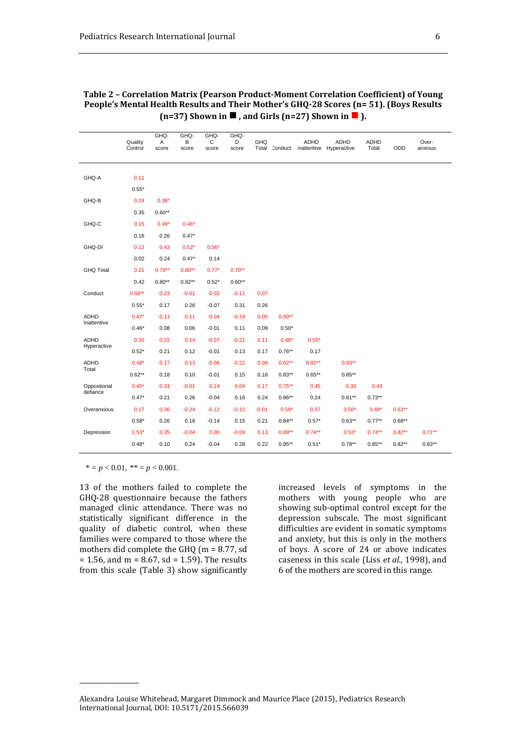|                            | Quality<br>Control | GHQ-<br>Α<br>score | GHQ-<br>В<br>score | GHQ-<br>C<br>score | GHQ-<br>D<br>score | GHQ     |           | ADHD      | <b>ADHD</b><br>Total Conduct Inattentive Hyperactive | <b>ADHD</b><br>Total | ODD       | Over-<br>anxious |
|----------------------------|--------------------|--------------------|--------------------|--------------------|--------------------|---------|-----------|-----------|------------------------------------------------------|----------------------|-----------|------------------|
| GHQ-A                      | 0.11               |                    |                    |                    |                    |         |           |           |                                                      |                      |           |                  |
|                            | $0.55*$            |                    |                    |                    |                    |         |           |           |                                                      |                      |           |                  |
| GHQ-B                      | 0.24               | $0.38*$            |                    |                    |                    |         |           |           |                                                      |                      |           |                  |
|                            | 0.35               | $0.60**$           |                    |                    |                    |         |           |           |                                                      |                      |           |                  |
| GHQ-C                      | 0.15               | $0.49*$            | $0.46*$            |                    |                    |         |           |           |                                                      |                      |           |                  |
|                            | 0.16               | 0.26               | $0.47*$            |                    |                    |         |           |           |                                                      |                      |           |                  |
| GHQ-DI                     | 0.12               | 0.43               | $0.52*$            | $0.56*$            |                    |         |           |           |                                                      |                      |           |                  |
|                            | 0.02               | 0.24               | $0.47*$            | 0.14               |                    |         |           |           |                                                      |                      |           |                  |
| <b>GHQ Total</b>           | 0.21               | $0.79**$           | $0.80**$           | $0.77*$            | $0.70**$           |         |           |           |                                                      |                      |           |                  |
|                            | 0.42               | $0.80**$           | $0.92**$           | $0.52*$            | $0.60**$           |         |           |           |                                                      |                      |           |                  |
| Conduct                    | $0.69**$           | 0.23               | $-0.01$            | $-0.02$            | $-0.11$            | 0.07    |           |           |                                                      |                      |           |                  |
|                            | $0.55*$            | 0.17               | 0.26               | $-0.07$            | 0.31               | 0.26    |           |           |                                                      |                      |           |                  |
| <b>ADHD</b><br>Inattentive | $0.47*$            | 0.11               | 0.11               | $-0.04$            | $-0.19$            | 0.05    | $0.60**$  |           |                                                      |                      |           |                  |
|                            | $0.46*$            | 0.08               | 0.06               | $-0.01$            | 0.11               | 0.09    | $0.50*$   |           |                                                      |                      |           |                  |
| <b>ADHD</b><br>Hyperactive | 0.35               | 0.22               | 0.14               | $-0.07$            | $-0.21$            | 0.11    | $0.48*$   | $0.55*$   |                                                      |                      |           |                  |
|                            | $0.52*$            | 0.21               | 0.12               | $-0.01$            | 0.13               | 0.17    | $0.76**$  | 0.17      |                                                      |                      |           |                  |
| <b>ADHD</b><br>Total       | $0.48*$            | 0.17               | 0.13               | $-0.06$            | $-0.22$            | 0.08    | $0.62**$  | $0.92**$  | $0.83**$                                             |                      |           |                  |
|                            | $0.62**$           | 0.18               | 0.10               | $-0.01$            | 0.15               | 0.16    | $0.83**$  | $0.65**$  | $0.85**$                                             |                      |           |                  |
| Oppostional<br>defiance    | $0.45*$            | 0.31               | $-0.01$            | 0.14               | 0.04               | 0.17    | $0.75***$ | 0.45      | 0.30                                                 | 0.43                 |           |                  |
|                            | $0.47*$            | 0.21               | 0.26               | $-0.04$            | 0.16               | 0.24    | $0.86**$  | 0.24      | $0.81**$                                             | $0.73**$             |           |                  |
| Overanxious                | 0.17               | 0.36               | $-0.24$            | $-0.12$            | $-0.15$            | $-0.01$ | $0.58*$   | 0.37      | $0.50*$                                              | $0.48*$              | $0.63***$ |                  |
|                            | $0.58*$            | 0.26               | 0.18               | $-0.14$            | 0.15               | 0.21    | $0.84**$  | $0.57*$   | $0.63**$                                             | $0.77**$             | $0.68**$  |                  |
| Depression                 | $0.53*$            | 0.35               | $-0.04$            | 0.06               | $-0.09$            | 0.13    | $0.89**$  | $0.74***$ | $0.53*$                                              | $0.74**$             | $0.82***$ | $0.71**$         |
|                            | $0.48*$            | 0.10               | 0.24               | $-0.04$            | 0.28               | 0.22    | $0.95**$  | $0.51*$   | $0.78**$                                             | $0.85**$             | $0.82**$  | $0.83**$         |

#### **Table 2 – Correlation Matrix (Pearson Product-Moment Correlation Coefficient) of Young People's Mental Health Results and Their Mother's GHQ-28 Scores (n= 51). (Boys Results (n=37)** Shown in  $\blacksquare$ , and Girls (n=27) Shown in  $\blacksquare$ ).

 $* = p < 0.01, ** = p < 0.001.$ 

\_\_\_\_\_\_\_\_\_\_\_\_\_\_\_

13 of the mothers failed to complete the GHQ-28 questionnaire because the fathers managed clinic attendance. There was no statistically significant difference in the quality of diabetic control, when these families were compared to those where the mothers did complete the GHQ (m = 8.77, sd  $= 1.56$ , and m =  $8.67$ , sd = 1.59). The results from this scale (Table 3) show significantly increased levels of symptoms in the mothers with young people who are showing sub-optimal control except for the depression subscale. The most significant difficulties are evident in somatic symptoms and anxiety, but this is only in the mothers of boys. A score of 24 or above indicates caseness in this scale (Liss *et al.,* 1998), and 6 of the mothers are scored in this range.

Alexandra Louise Whitehead, Margaret Dimmock and Maurice Place (2015), Pediatrics Research International Journal*,* DOI: 10.5171/2015.566039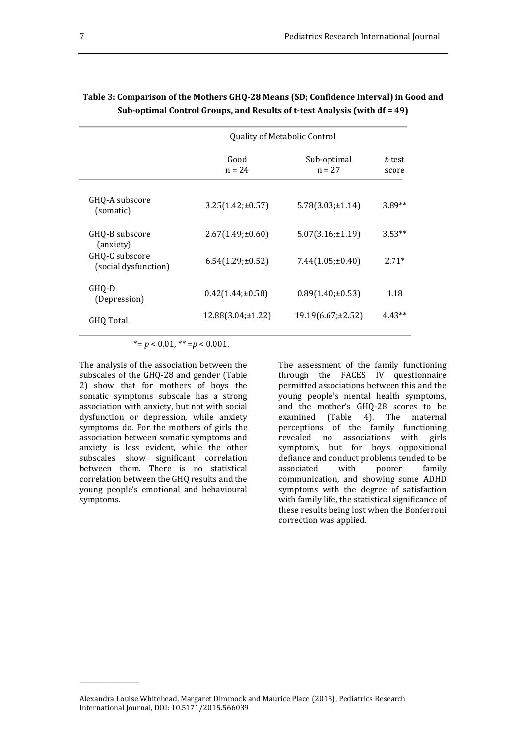|                                        | <b>Quality of Metabolic Control</b> |                         |                 |  |  |  |  |  |
|----------------------------------------|-------------------------------------|-------------------------|-----------------|--|--|--|--|--|
|                                        | Good<br>$n = 24$                    | Sub-optimal<br>$n = 27$ | t-test<br>score |  |  |  |  |  |
| GHQ-A subscore<br>(somatic)            | $3.25(1.42; \pm 0.57)$              | $5.78(3.03; \pm 1.14)$  | $3.89**$        |  |  |  |  |  |
| GHQ-B subscore<br>(anxiety)            | $2.67(1.49; \pm 0.60)$              | $5.07(3.16; \pm 1.19)$  | $3.53**$        |  |  |  |  |  |
| GHQ-C subscore<br>(social dysfunction) | $6.54(1.29; \pm 0.52)$              | $7.44(1.05;\pm 0.40)$   | $2.71*$         |  |  |  |  |  |
| GHO-D<br>(Depression)                  | $0.42(1.44;\pm 0.58)$               | $0.89(1.40; \pm 0.53)$  | 1.18            |  |  |  |  |  |
| GHQ Total                              | $12.88(3.04; \pm 1.22)$             | 19.19(6.67;±2.52)       | $4.43**$        |  |  |  |  |  |

### **Table 3: Comparison of the Mothers GHQ-28 Means (SD; Confidence Interval) in Good and Sub-optimal Control Groups, and Results of t-test Analysis (with df = 49)**

 $* = p < 0.01$ ,  $** = p < 0.001$ .

The analysis of the association between the subscales of the GHQ-28 and gender (Table 2) show that for mothers of boys the somatic symptoms subscale has a strong association with anxiety, but not with social dysfunction or depression, while anxiety symptoms do. For the mothers of girls the association between somatic symptoms and anxiety is less evident, while the other subscales show significant correlation between them. There is no statistical correlation between the GHQ results and the young people's emotional and behavioural symptoms.

\_\_\_\_\_\_\_\_\_\_\_\_\_\_\_

The assessment of the family functioning through the FACES IV questionnaire permitted associations between this and the young people's mental health symptoms, and the mother's GHQ-28 scores to be examined (Table 4). The maternal perceptions of the family functioning revealed no associations with girls symptoms, but for boys oppositional defiance and conduct problems tended to be associated with poorer family communication, and showing some ADHD symptoms with the degree of satisfaction with family life, the statistical significance of these results being lost when the Bonferroni correction was applied.

Alexandra Louise Whitehead, Margaret Dimmock and Maurice Place (2015), Pediatrics Research International Journal*,* DOI: 10.5171/2015.566039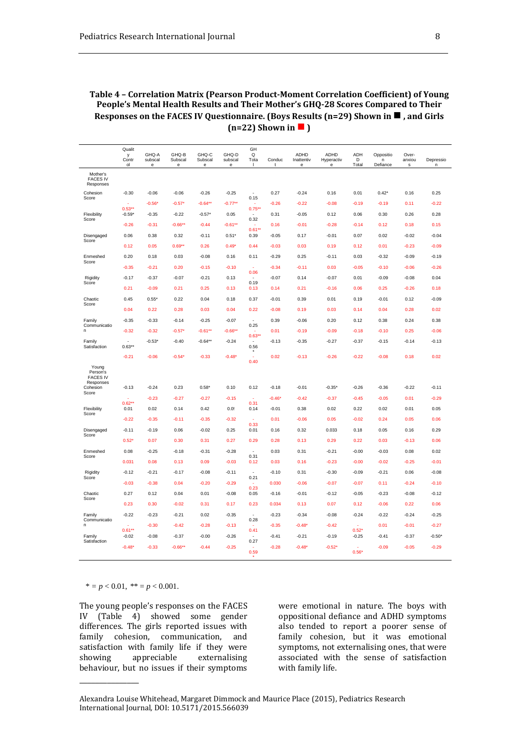**Table 4 – Correlation Matrix (Pearson Product-Moment Correlation Coefficient) of Young People's Mental Health Results and Their Mother's GHQ-28 Scores Compared to Their Responses on the FACES IV Questionnaire. (Boys Results (n=29) Shown in , and Girls**   $(n=22)$  Shown in  $\blacksquare$ )

|                                                               | Qualit<br>у<br>Contr<br>ol | GHQ-A<br>subscal<br>$\mathbf{e}% _{t}\left  \mathbf{1}\right\rangle$ | GHQ-B<br>Subscal<br>$\mathsf{e}% _{0}\left( \mathsf{e}\right)$ | GHQ-C<br>Subscal<br>$\mathbf{e}% _{t}\left  \mathbf{1}\right\rangle$ | GHQ-D<br>subscal<br>$\mathsf{e}% _{0}\left( \mathsf{e}\right)$ | GH<br>Q<br>Tota<br>$\mathbf{I}$   | Conduc<br>t | <b>ADHD</b><br>Inattentiv<br>$\mathsf{e}% _{0}\left( \mathsf{e}\right)$ | ADHD<br>Hyperactiv<br>$\mathsf{e}% _{0}\left( \mathsf{e}\right)$ | <b>ADH</b><br>D<br>Total | Oppositio<br>n<br>Defiance | Over-<br>anxiou<br>s | Depressio<br>n |
|---------------------------------------------------------------|----------------------------|----------------------------------------------------------------------|----------------------------------------------------------------|----------------------------------------------------------------------|----------------------------------------------------------------|-----------------------------------|-------------|-------------------------------------------------------------------------|------------------------------------------------------------------|--------------------------|----------------------------|----------------------|----------------|
| Mother's<br><b>FACES IV</b><br>Responses                      |                            |                                                                      |                                                                |                                                                      |                                                                |                                   |             |                                                                         |                                                                  |                          |                            |                      |                |
| Cohesion<br>Score                                             | $-0.30$                    | $-0.06$                                                              | $-0.06$                                                        | $-0.26$                                                              | $-0.25$                                                        | ×,<br>0.15                        | 0.27        | $-0.24$                                                                 | 0.16                                                             | 0.01                     | $0.42*$                    | 0.16                 | 0.25           |
|                                                               | $0.53***$                  | $-0.56*$                                                             | $-0.57"$                                                       | $-0.64**$                                                            | $-0.77**$                                                      | $0.75**$                          | $-0.26$     | $-0.22$                                                                 | $-0.08$                                                          | $-0.19$                  | $-0.19$                    | 0.11                 | $-0.22$        |
| Flexibility<br>Score                                          | $-0.59*$                   | $-0.35$                                                              | $-0.22$                                                        | $-0.57*$                                                             | 0.05                                                           | 0.32                              | 0.31        | $-0.05$                                                                 | 0.12                                                             | 0.06                     | 0.30                       | 0.26                 | 0.28           |
|                                                               | $-0.26$                    | $-0.31$                                                              | $-0.66**$                                                      | $-0.44$                                                              | $-0.61**$                                                      | $0.61**$                          | 0.16        | $-0.01$                                                                 | $-0.28$                                                          | $-0.14$                  | 0.12                       | 0.18                 | 0.15           |
| Disengaged<br>Score                                           | 0.06                       | 0.38                                                                 | 0.32                                                           | $-0.11$                                                              | $0.51*$                                                        | 0.39                              | $-0.05$     | 0.17                                                                    | $-0.01$                                                          | 0.07                     | 0.02                       | $-0.02$              | $-0.04$        |
|                                                               | 0.12                       | 0.05                                                                 | $0.69**$                                                       | 0.26                                                                 | $0.49*$                                                        | 0.44                              | $-0.03$     | 0.03                                                                    | 0.19                                                             | 0.12                     | 0.01                       | $-0.23$              | $-0.09$        |
| Enmeshed<br>Score                                             | 0.20                       | 0.18                                                                 | 0.03                                                           | $-0.08$                                                              | 0.16                                                           | 0.11                              | $-0.29$     | 0.25                                                                    | $-0.11$                                                          | 0.03                     | $-0.32$                    | $-0.09$              | $-0.19$        |
|                                                               | $-0.35$                    | $-0.21$                                                              | 0.20                                                           | $-0.15$                                                              | $-0.10$                                                        | 0.06                              | $-0.34$     | $-0.11$                                                                 | 0.03                                                             | $-0.05$                  | $-0.10$                    | $-0.06$              | $-0.26$        |
| Rigidity                                                      | $-0.17$                    | $-0.37$                                                              | $-0.07$                                                        | $-0.21$                                                              | 0.13                                                           | 0.19                              | $-0.07$     | 0.14                                                                    | $-0.07$                                                          | 0.01                     | $-0.09$                    | $-0.08$              | 0.04           |
| Score                                                         | 0.21                       | $-0.09$                                                              | 0.21                                                           | 0.25                                                                 | 0.13                                                           | 0.13                              | 0.14        | 0.21                                                                    | $-0.16$                                                          | 0.06                     | 0.25                       | $-0.26$              | 0.18           |
| Chaotic                                                       | 0.45                       | $0.55*$                                                              | 0.22                                                           | 0.04                                                                 | 0.18                                                           | 0.37                              | $-0.01$     | 0.39                                                                    | 0.01                                                             | 0.19                     | $-0.01$                    | 0.12                 | $-0.09$        |
| Score                                                         | 0.04                       | 0.22                                                                 | 0.28                                                           | 0.03                                                                 | 0.04                                                           | 0.22                              | $-0.08$     | 0.19                                                                    | 0.03                                                             | 0.14                     | 0.04                       | 0.28                 | 0.02           |
| Family                                                        | $-0.35$                    | $-0.33$                                                              | $-0.14$                                                        | $-0.25$                                                              | $-0.07$                                                        |                                   | 0.39        | $-0.06$                                                                 | 0.20                                                             | 0.12                     | 0.38                       | 0.24                 | 0.38           |
| Communicatio<br>n                                             | $-0.32$                    | $-0.32$                                                              | $-0.57"$                                                       | $-0.61**$                                                            | $-0.66**$                                                      | 0.25                              | 0.01        | $-0.19$                                                                 | $-0.09$                                                          | $-0.18$                  | $-0.10$                    | 0.25                 | $-0.06$        |
| Family<br>Satisfaction                                        | $\overline{a}$<br>$0.63**$ | $-0.53*$                                                             | $-0.40$                                                        | $-0.64**$                                                            | $-0.24$                                                        | $0.63*$<br>$\overline{a}$<br>0.56 | $-0.13$     | $-0.35$                                                                 | $-0.27$                                                          | $-0.37$                  | $-0.15$                    | $-0.14$              | $-0.13$        |
|                                                               | $-0.21$                    | $-0.06$                                                              | $-0.54"$                                                       | $-0.33$                                                              | $-0.48*$                                                       | ×,<br>0.40                        | 0.02        | $-0.13$                                                                 | $-0.26$                                                          | $-0.22$                  | $-0.08$                    | 0.18                 | 0.02           |
| Young<br>Person's<br><b>FACES IV</b><br>Responses<br>Cohesion | $-0.13$                    | $-0.24$                                                              | 0.23                                                           | $0.58*$                                                              | 0.10                                                           | 0.12                              | $-0.18$     | $-0.01$                                                                 | $-0.35*$                                                         | $-0.26$                  | $-0.36$                    | $-0.22$              | $-0.11$        |
| Score                                                         |                            | $-0.23$                                                              | $-0.27$                                                        | $-0.27$                                                              | $-0.15$                                                        | ÷                                 | $-0.46*$    | $-0.42$                                                                 | $-0.37$                                                          | $-0.45$                  | $-0.05$                    | 0.01                 | $-0.29$        |
| Flexibility                                                   | $0.62**$<br>0.01           | 0.02                                                                 | 0.14                                                           | 0.42                                                                 | 0.0!                                                           | 0.31<br>0.14                      | $-0.01$     | 0.38                                                                    | 0.02                                                             | 0.22                     | 0.02                       | 0.01                 | 0.05           |
| Score                                                         | $-0.22$                    | $-0.35$                                                              | $-0.11$                                                        | $-0.35$                                                              | $-0.32$                                                        | ÷.                                | 0.01        | $-0.06$                                                                 | 0.05                                                             | $-0.02$                  | 0.24                       | 0.05                 | 0.06           |
| Disengaged                                                    | $-0.11$                    | $-0.19$                                                              | 0.06                                                           | $-0.02$                                                              | 0.25                                                           | 0.33<br>0.01                      | 0.16        | 0.32                                                                    | 0.033                                                            | 0.18                     | 0.05                       | 0.16                 | 0.29           |
| Score                                                         | $0.52*$                    | 0.07                                                                 | 0.30                                                           | 0.31                                                                 | 0.27                                                           | 0.29                              | 0.28        | 0.13                                                                    | 0.29                                                             | 0.22                     | 0.03                       | $-0.13$              | 0.06           |
| Enmeshed                                                      | 0.08                       | $-0.25$                                                              | $-0.18$                                                        | $-0.31$                                                              | $-0.28$                                                        | $\overline{a}$                    | 0.03        | 0.31                                                                    | $-0.21$                                                          | $-0.00$                  | $-0.03$                    | 0.08                 | 0.02           |
| Score                                                         | 0.031                      | 0.08                                                                 | 0.13                                                           | 0.09                                                                 | $-0.03$                                                        | 0.31<br>0.12                      | 0.03        | 0.16                                                                    | $-0.23$                                                          | $-0.00$                  | $-0.02$                    | $-0.25$              | $-0.01$        |
| Rigidity                                                      | $-0.12$                    | $-0.21$                                                              | $-0.17$                                                        | $-0.08$                                                              | $-0.11$                                                        |                                   | $-0.10$     | 0.31                                                                    | $-0.30$                                                          | $-0.09$                  | $-0.21$                    | 0.06                 | $-0.08$        |
| Score                                                         | $-0.03$                    | $-0.38$                                                              | 0.04                                                           | $-0.20$                                                              | $-0.29$                                                        | 0.21                              | 0.030       | $-0.06$                                                                 | $-0.07$                                                          | $-0.07$                  | 0.11                       | $-0.24$              | $-0.10$        |
| Chaotic                                                       | 0.27                       | 0.12                                                                 | 0.04                                                           | 0.01                                                                 | $-0.08$                                                        | 0.23<br>0.05                      | $-0.16$     | $-0.01$                                                                 | $-0.12$                                                          | $-0.05$                  | $-0.23$                    | $-0.08$              | $-0.12$        |
| Score                                                         | 0.23                       | 0.30                                                                 | $-0.02$                                                        | 0.31                                                                 | 0.17                                                           | 0.23                              | 0.034       | 0.13                                                                    | 0.07                                                             | 0.12                     | $-0.06$                    | 0.22                 | 0.06           |
| Family                                                        | $-0.22$                    | $-0.23$                                                              | $-0.21$                                                        | 0.02                                                                 | $-0.35$                                                        | $\overline{a}$                    | $-0.23$     | $-0.34$                                                                 | $-0.08$                                                          | $-0.24$                  | $-0.22$                    | $-0.24$              | $-0.25$        |
| Communicatio<br>n                                             |                            | $-0.30$                                                              | $-0.42$                                                        | $-0.28$                                                              | $-0.13$                                                        | 0.28                              | $-0.35$     | $-0.48*$                                                                | $-0.42$                                                          |                          | 0.01                       | $-0.01$              | $-0.27$        |
|                                                               | $0.61**$                   |                                                                      |                                                                |                                                                      |                                                                | 0.41                              |             |                                                                         |                                                                  | $0.52*$                  |                            |                      |                |
| Family<br>Satisfaction                                        | $-0.02$                    | $-0.08$                                                              | $-0.37$                                                        | $-0.00$                                                              | $-0.26$                                                        | 0.27                              | $-0.41$     | $-0.21$                                                                 | $-0.19$                                                          | $-0.25$                  | $-0.41$                    | $-0.37$              | $-0.50*$       |
|                                                               | $-0.48*$                   | $-0.33$                                                              | $-0.66**$                                                      | $-0.44$                                                              | $-0.25$                                                        | 0.59                              | $-0.28$     | $-0.48*$                                                                | $-0.52*$                                                         | ÷.<br>$0.56*$            | $-0.09$                    | $-0.05$              | $-0.29$        |

 $* = p < 0.01, * = p < 0.001.$ 

\_\_\_\_\_\_\_\_\_\_\_\_\_\_\_

The young people's responses on the FACES IV (Table 4) showed some gender differences. The girls reported issues with family cohesion, communication, and satisfaction with family life if they were<br>showing appreciable externalising showing appreciable externalising behaviour, but no issues if their symptoms

were emotional in nature. The boys with oppositional defiance and ADHD symptoms also tended to report a poorer sense of family cohesion, but it was emotional symptoms, not externalising ones, that were associated with the sense of satisfaction with family life.

Alexandra Louise Whitehead, Margaret Dimmock and Maurice Place (2015), Pediatrics Research International Journal*,* DOI: 10.5171/2015.566039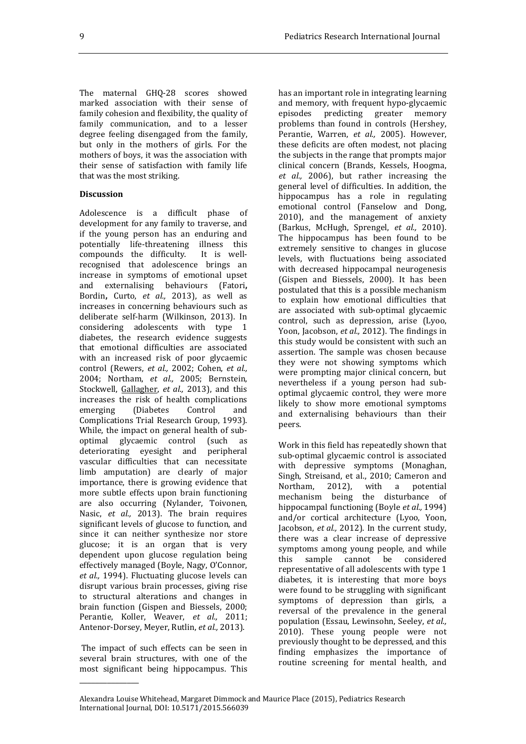The maternal GHQ-28 scores showed marked association with their sense of family cohesion and flexibility, the quality of family communication, and to a lesser degree feeling disengaged from the family, but only in the mothers of girls. For the mothers of boys, it was the association with their sense of satisfaction with family life that was the most striking.

#### **Discussion**

Adolescence is a difficult phase of development for any family to traverse, and if the young person has an enduring and potentially life-threatening illness this compounds the difficulty. It is wellcompounds the difficulty. recognised that adolescence brings an increase in symptoms of emotional upset and externalising behaviours (Fatori**,** Bordin**,** Curto, *et al.,* 2013), as well as increases in concerning behaviours such as deliberate self-harm (Wilkinson, 2013). In considering adolescents with type 1 diabetes, the research evidence suggests that emotional difficulties are associated with an increased risk of poor glycaemic control (Rewers, *et al.,* 2002; Cohen, *et al.,* 2004; Northam, *et al.,* 2005; Bernstein, Stockwell, Gallagher, *et al.,* 2013), and this increases the risk of health complications emerging (Diabetes Control and Complications Trial Research Group, 1993). While, the impact on general health of suboptimal glycaemic control (such as deteriorating eyesight and peripheral vascular difficulties that can necessitate limb amputation) are clearly of major importance, there is growing evidence that more subtle effects upon brain functioning are also occurring (Nylander, Toivonen, Nasic, *et al.,* 2013). The brain requires significant levels of glucose to function, and since it can neither synthesize nor store glucose; it is an organ that is very dependent upon glucose regulation being effectively managed (Boyle, Nagy, O'Connor, *et al.,* 1994). Fluctuating glucose levels can disrupt various brain processes, giving rise to structural alterations and changes in brain function (Gispen and Biessels, 2000; Perantie, Koller, Weaver, *et al.,* 2011; Antenor-Dorsey, Meyer, Rutlin, *et al.,* 2013).

 The impact of such effects can be seen in several brain structures, with one of the most significant being hippocampus. This

\_\_\_\_\_\_\_\_\_\_\_\_\_\_\_

has an important role in integrating learning and memory, with frequent hypo-glycaemic episodes predicting greater memory problems than found in controls (Hershey, Perantie, Warren, *et al.,* 2005). However, these deficits are often modest, not placing the subjects in the range that prompts major clinical concern (Brands, Kessels, Hoogma, *et al.,* 2006), but rather increasing the general level of difficulties. In addition, the hippocampus has a role in regulating emotional control (Fanselow and Dong, 2010), and the management of anxiety (Barkus, McHugh, Sprengel, *et al.,* 2010). The hippocampus has been found to be extremely sensitive to changes in glucose levels, with fluctuations being associated with decreased hippocampal neurogenesis (Gispen and Biessels, 2000). It has been postulated that this is a possible mechanism to explain how emotional difficulties that are associated with sub-optimal glycaemic control, such as depression, arise (Lyoo, Yoon, Jacobson, *et al.,* 2012). The findings in this study would be consistent with such an assertion. The sample was chosen because they were not showing symptoms which were prompting major clinical concern, but nevertheless if a young person had suboptimal glycaemic control, they were more likely to show more emotional symptoms and externalising behaviours than their peers.

Work in this field has repeatedly shown that sub-optimal glycaemic control is associated with depressive symptoms (Monaghan, Singh, Streisand, et al., 2010; Cameron and Northam, 2012), with a potential mechanism being the disturbance of hippocampal functioning (Boyle *et al.,* 1994) and/or cortical architecture (Lyoo, Yoon, Jacobson, *et al.,* 2012). In the current study, there was a clear increase of depressive symptoms among young people, and while this sample cannot be considered representative of all adolescents with type 1 diabetes, it is interesting that more boys were found to be struggling with significant symptoms of depression than girls, a reversal of the prevalence in the general population (Essau, Lewinsohn, Seeley, *et al.,* 2010). These young people were not previously thought to be depressed, and this finding emphasizes the importance of routine screening for mental health, and

Alexandra Louise Whitehead, Margaret Dimmock and Maurice Place (2015), Pediatrics Research International Journal*,* DOI: 10.5171/2015.566039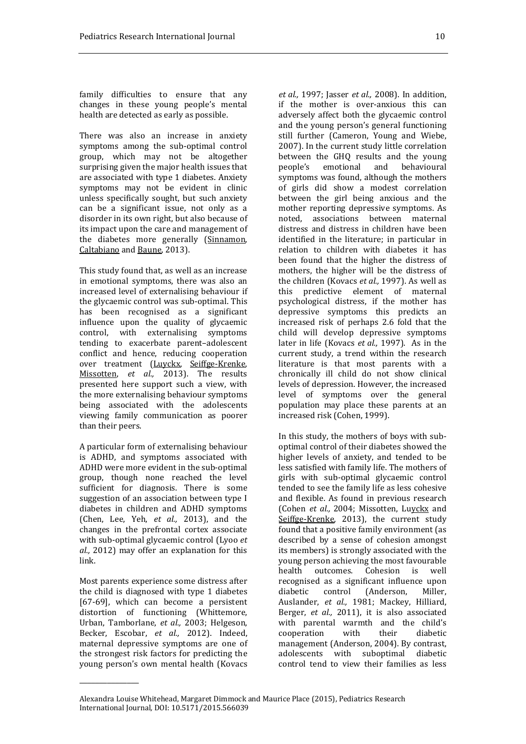family difficulties to ensure that any changes in these young people's mental health are detected as early as possible.

There was also an increase in anxiety symptoms among the sub-optimal control group, which may not be altogether surprising given the major health issues that are associated with type 1 diabetes. Anxiety symptoms may not be evident in clinic unless specifically sought, but such anxiety can be a significant issue, not only as a disorder in its own right, but also because of its impact upon the care and management of the diabetes more generally (Sinnamon, Caltabiano and Baune, 2013).

This study found that, as well as an increase in emotional symptoms, there was also an increased level of externalising behaviour if the glycaemic control was sub-optimal. This has been recognised as a significant influence upon the quality of glycaemic control, with externalising symptoms tending to exacerbate parent–adolescent conflict and hence, reducing cooperation over treatment (Luyckx, Seiffge-Krenke, Missotten, *et al.,* 2013). The results presented here support such a view, with the more externalising behaviour symptoms being associated with the adolescents viewing family communication as poorer than their peers.

A particular form of externalising behaviour is ADHD, and symptoms associated with ADHD were more evident in the sub-optimal group, though none reached the level sufficient for diagnosis. There is some suggestion of an association between type I diabetes in children and ADHD symptoms (Chen, Lee, Yeh, *et al.,* 2013), and the changes in the prefrontal cortex associate with sub-optimal glycaemic control (Lyoo *et al.,* 2012) may offer an explanation for this link.

Most parents experience some distress after the child is diagnosed with type 1 diabetes [67-69], which can become a persistent distortion of functioning (Whittemore, Urban, Tamborlane, *et al.,* 2003; Helgeson, Becker, Escobar, *et al.,* 2012). Indeed, maternal depressive symptoms are one of the strongest risk factors for predicting the young person's own mental health (Kovacs

\_\_\_\_\_\_\_\_\_\_\_\_\_\_\_

*et al.,* 1997; Jasser *et al.,* 2008). In addition, if the mother is over-anxious this can adversely affect both the glycaemic control and the young person's general functioning still further (Cameron, Young and Wiebe, 2007). In the current study little correlation between the GHQ results and the young people's emotional and behavioural symptoms was found, although the mothers of girls did show a modest correlation between the girl being anxious and the mother reporting depressive symptoms. As noted, associations between maternal distress and distress in children have been identified in the literature; in particular in relation to children with diabetes it has been found that the higher the distress of mothers, the higher will be the distress of the children (Kovacs *et al.,* 1997). As well as this predictive element of maternal psychological distress, if the mother has depressive symptoms this predicts an increased risk of perhaps 2.6 fold that the child will develop depressive symptoms later in life (Kovacs *et al.,* 1997). As in the current study, a trend within the research literature is that most parents with a chronically ill child do not show clinical levels of depression. However, the increased level of symptoms over the general population may place these parents at an increased risk (Cohen, 1999).

In this study, the mothers of boys with suboptimal control of their diabetes showed the higher levels of anxiety, and tended to be less satisfied with family life. The mothers of girls with sub-optimal glycaemic control tended to see the family life as less cohesive and flexible. As found in previous research (Cohen *et al.,* 2004; Missotten, Luyckx and Seiffge-Krenke, 2013), the current study found that a positive family environment (as described by a sense of cohesion amongst its members) is strongly associated with the young person achieving the most favourable health outcomes. Cohesion is well recognised as a significant influence upon diabetic control (Anderson, Miller, Auslander, *et al.,* 1981; Mackey, Hilliard, Berger, *et al.,* 2011), it is also associated with parental warmth and the child's cooperation with their diabetic management (Anderson, 2004). By contrast, adolescents with suboptimal diabetic control tend to view their families as less

Alexandra Louise Whitehead, Margaret Dimmock and Maurice Place (2015), Pediatrics Research International Journal*,* DOI: 10.5171/2015.566039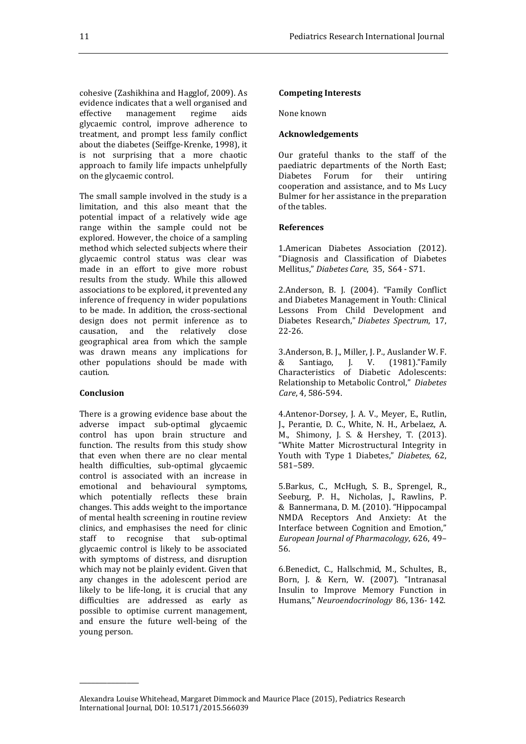cohesive (Zashikhina and Hagglof, 2009). As evidence indicates that a well organised and effective management regime aids glycaemic control, improve adherence to treatment, and prompt less family conflict about the diabetes (Seiffge-Krenke, 1998), it is not surprising that a more chaotic approach to family life impacts unhelpfully on the glycaemic control.

The small sample involved in the study is a limitation, and this also meant that the potential impact of a relatively wide age range within the sample could not be explored. However, the choice of a sampling method which selected subjects where their glycaemic control status was clear was made in an effort to give more robust results from the study. While this allowed associations to be explored, it prevented any inference of frequency in wider populations to be made. In addition, the cross-sectional design does not permit inference as to causation, and the relatively close geographical area from which the sample was drawn means any implications for other populations should be made with caution.

#### **Conclusion**

\_\_\_\_\_\_\_\_\_\_\_\_\_\_\_

There is a growing evidence base about the adverse impact sub-optimal glycaemic control has upon brain structure and function. The results from this study show that even when there are no clear mental health difficulties, sub-optimal glycaemic control is associated with an increase in emotional and behavioural symptoms, which potentially reflects these brain changes. This adds weight to the importance of mental health screening in routine review clinics, and emphasises the need for clinic staff to recognise that sub-optimal glycaemic control is likely to be associated with symptoms of distress, and disruption which may not be plainly evident. Given that any changes in the adolescent period are likely to be life-long, it is crucial that any difficulties are addressed as early as possible to optimise current management, and ensure the future well-being of the young person.

# **Competing Interests**

None known

# **Acknowledgements**

Our grateful thanks to the staff of the paediatric departments of the North East; Diabetes Forum for their untiring cooperation and assistance, and to Ms Lucy Bulmer for her assistance in the preparation of the tables.

#### **References**

1.American Diabetes Association (2012). "Diagnosis and Classification of Diabetes Mellitus," *Diabetes Care*, 35, S64 - S71.

2.Anderson, B. J. (2004). "Family Conflict and Diabetes Management in Youth: Clinical Lessons From Child Development and Diabetes Research," *Diabetes Spectrum*, 17, 22-26.

3.Anderson, B. J., Miller, J. P., Auslander W. F. & Santiago, J. V. (1981)."Family Characteristics of Diabetic Adolescents: Relationship to Metabolic Control," *Diabetes Care*, 4, 586-594.

4.Antenor-Dorsey, J. A. V., Meyer, E., Rutlin, J., Perantie, D. C., White, N. H., Arbelaez, A. M., Shimony, J. S. & Hershey, T. (2013). "White Matter Microstructural Integrity in Youth with Type 1 Diabetes," *Diabetes*, 62, 581–589.

5.Barkus, C., McHugh, S. B., Sprengel, R., Seeburg, P. H., Nicholas, J., Rawlins, P. & Bannermana, D. M. (2010). "Hippocampal NMDA Receptors And Anxiety: At the Interface between Cognition and Emotion," *European Journal of Pharmacology*, 626, 49– 56.

6.Benedict, C., Hallschmid, M., Schultes, B., Born, J. & Kern, W. (2007). "Intranasal Insulin to Improve Memory Function in Humans," *Neuroendocrinology* 86, 136- 142.

Alexandra Louise Whitehead, Margaret Dimmock and Maurice Place (2015), Pediatrics Research International Journal*,* DOI: 10.5171/2015.566039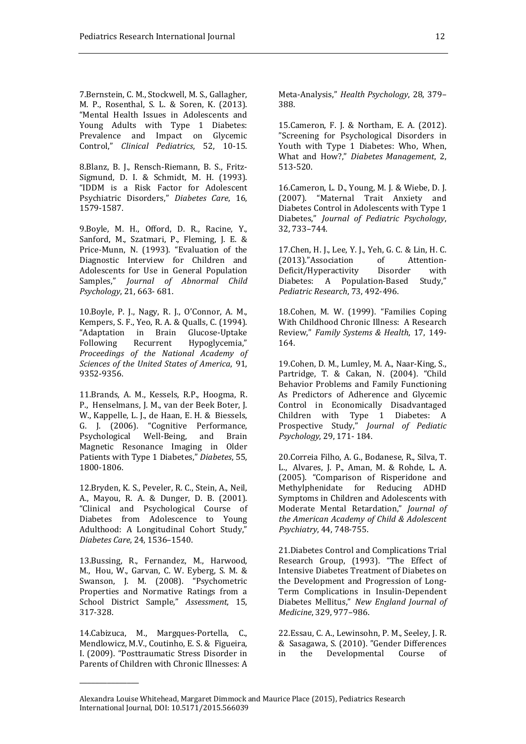7.Bernstein, C. M., Stockwell, M. S., Gallagher, M. P., Rosenthal, S. L. & Soren, K. (2013). "Mental Health Issues in Adolescents and Young Adults with Type 1 Diabetes: Prevalence and Impact on Glycemic Control," *Clinical Pediatrics*, 52, 10-15.

8.Blanz, B. J., Rensch-Riemann, B. S., Fritz-Sigmund, D. I. & Schmidt, M. H. (1993). "IDDM is a Risk Factor for Adolescent Psychiatric Disorders," *Diabetes Care*, 16, 1579-1587.

9.Boyle, M. H., Offord, D. R., Racine, Y., Sanford, M., Szatmari, P., Fleming, J. E. & Price-Munn, N. (1993). "Evaluation of the Diagnostic Interview for Children and Adolescents for Use in General Population Samples," *Journal of Abnormal Child Psychology*, 21, 663- 681.

10.Boyle, P. J., Nagy, R. J., O'Connor, A. M., Kempers, S. F., Yeo, R. A. & Qualls, C. (1994). "Adaptation in Brain Glucose-Uptake Following Recurrent Hypoglycemia," *Proceedings of the National Academy of Sciences of the United States of America*, 91, 9352-9356.

11.Brands, A. M., Kessels, R.P., Hoogma, R. P., Henselmans, J. M., van der Beek Boter, J. W., Kappelle, L. J., de Haan, E. H. & Biessels, G. J. (2006). "Cognitive Performance, Psychological Well-Being, and Brain Magnetic Resonance Imaging in Older Patients with Type 1 Diabetes," *Diabetes*, 55, 1800-1806.

12.Bryden, K. S., Peveler, R. C., Stein, A., Neil, A., Mayou, R. A. & Dunger, D. B. (2001). "Clinical and Psychological Course of Diabetes from Adolescence to Young Adulthood: A Longitudinal Cohort Study," *Diabetes Care*, 24, 1536–1540.

13.Bussing, R., Fernandez, M., Harwood, M., Hou, W., Garvan, C. W. Eyberg, S. M. & Swanson, J. M. (2008). "Psychometric Properties and Normative Ratings from a School District Sample," *Assessment*, 15, 317-328.

14.Cabizuca, M., Margques-Portella, C., Mendlowicz, M.V., Coutinho, E. S. & Figueira, I. (2009). "Posttraumatic Stress Disorder in Parents of Children with Chronic Illnesses: A

\_\_\_\_\_\_\_\_\_\_\_\_\_\_\_

Meta-Analysis," *Health Psychology*, 28, 379– 388.

15.Cameron, F. J. & Northam, E. A. (2012). "Screening for Psychological Disorders in Youth with Type 1 Diabetes: Who, When, What and How?," *Diabetes Management*, 2, 513-520.

16.Cameron, L. D., Young, M. J. & Wiebe, D. J. (2007). "Maternal Trait Anxiety and Diabetes Control in Adolescents with Type 1 Diabetes," *Journal of Pediatric Psychology*, 32, 733–744.

17.Chen, H. J., Lee, Y. J., Yeh, G. C. & Lin, H. C. (2013)."Association of Attention-Deficit/Hyperactivity Disorder with Diabetes: A Population-Based Study," *Pediatric Research*, 73, 492-496.

18.Cohen, M. W. (1999). "Families Coping With Childhood Chronic Illness: A Research Review," *Family Systems & Health*, 17, 149- 164.

19.Cohen, D. M., Lumley, M. A., Naar-King, S., Partridge, T. & Cakan, N. (2004). "Child Behavior Problems and Family Functioning As Predictors of Adherence and Glycemic Control in Economically Disadvantaged Children with Type 1 Diabetes: A Prospective Study," *Journal of Pediatic Psychology*, 29, 171- 184.

20.Correia Filho, A. G., Bodanese, R., Silva, T. L., Alvares, J. P., Aman, M. & Rohde, L. A. (2005). "Comparison of Risperidone and Methylphenidate for Reducing ADHD Symptoms in Children and Adolescents with Moderate Mental Retardation," *Journal of the American Academy of Child & Adolescent Psychiatry*, 44, 748-755.

21.Diabetes Control and Complications Trial Research Group, (1993). "The Effect of Intensive Diabetes Treatment of Diabetes on the Development and Progression of Long-Term Complications in Insulin-Dependent Diabetes Mellitus," *New England Journal of Medicine*, 329, 977–986.

22.Essau, C. A., Lewinsohn, P. M., Seeley, J. R. & Sasagawa, S. (2010). "Gender Differences in the Developmental Course of

Alexandra Louise Whitehead, Margaret Dimmock and Maurice Place (2015), Pediatrics Research International Journal*,* DOI: 10.5171/2015.566039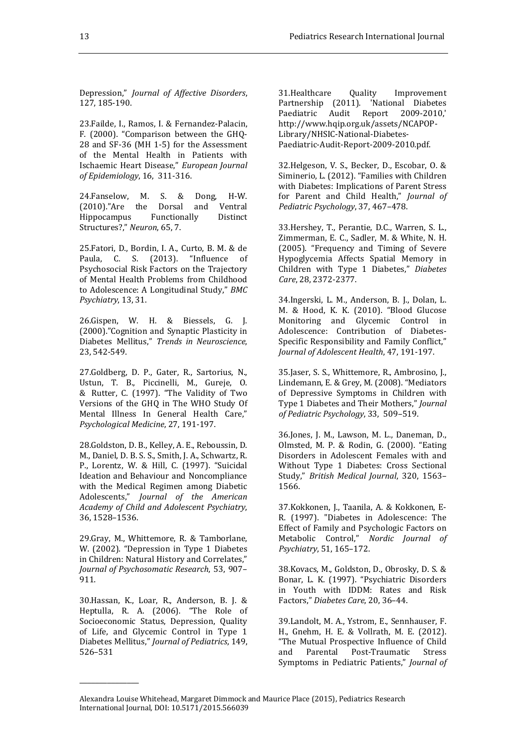Depression," *Journal of Affective Disorders*, 127, 185-190.

23.Failde, I., Ramos, I. & Fernandez-Palacin, F. (2000). "Comparison between the GHQ-28 and SF-36 (MH 1-5) for the Assessment of the Mental Health in Patients with Ischaemic Heart Disease," *European Journal of Epidemiology*, 16, 311-316.

24.Fanselow, M. S. & Dong, H-W. (2010)."Are the Dorsal and Ventral Hippocampus Functionally Distinct Structures?," *Neuron*, 65, 7.

25.Fatori, D., Bordin, I. A., Curto, B. M. & de Paula, C. S. (2013). "Influence of Psychosocial Risk Factors on the Trajectory of Mental Health Problems from Childhood to Adolescence: A Longitudinal Study," *BMC Psychiatry*, 13, 31.

26.Gispen, W. H. & Biessels, G. J. (2000)."Cognition and Synaptic Plasticity in Diabetes Mellitus," *Trends in Neuroscience*, 23, 542-549.

27.Goldberg, D. P., Gater, R., Sartorius, N., Ustun, T. B., Piccinelli, M., Gureje, O. & Rutter, C. (1997). "The Validity of Two Versions of the GHQ in The WHO Study Of Mental Illness In General Health Care," *Psychological Medicine*, 27, 191-197.

28.Goldston, D. B., Kelley, A. E., Reboussin, D. M., Daniel, D. B. S. S., Smith, J. A., Schwartz, R. P., Lorentz, W. & Hill, C. (1997). "Suicidal Ideation and Behaviour and Noncompliance with the Medical Regimen among Diabetic Adolescents," *Journal of the American Academy of Child and Adolescent Psychiatry*, 36, 1528–1536.

29.Gray, M., Whittemore, R. & Tamborlane, W. (2002). "Depression in Type 1 Diabetes in Children: Natural History and Correlates," *Journal of Psychosomatic Research*, 53, 907– 911.

30.Hassan, K., Loar, R., Anderson, B. J. & Heptulla, R. A. (2006). "The Role of Socioeconomic Status, Depression, Quality of Life, and Glycemic Control in Type 1 Diabetes Mellitus," *Journal of Pediatrics*, 149, 526–531

\_\_\_\_\_\_\_\_\_\_\_\_\_\_\_

31.Healthcare Quality Improvement Partnership (2011). 'National Diabetes Paediatric Audit Report 2009-2010,' http://www.hqip.org.uk/assets/NCAPOP-Library/NHSIC-National-Diabetes-Paediatric-Audit-Report-2009-2010.pdf.

32.Helgeson, V. S., Becker, D., Escobar, O. & Siminerio, L. (2012). "Families with Children with Diabetes: Implications of Parent Stress for Parent and Child Health," *Journal of Pediatric Psychology*, 37, 467–478.

33.Hershey, T., Perantie, D.C., Warren, S. L., Zimmerman, E. C., Sadler, M. & White, N. H. (2005). "Frequency and Timing of Severe Hypoglycemia Affects Spatial Memory in Children with Type 1 Diabetes," *Diabetes Care*, 28, 2372-2377.

34.Ingerski, L. M., Anderson, B. J., Dolan, L. M. & Hood, K. K. (2010). "Blood Glucose Monitoring and Glycemic Control in Adolescence: Contribution of Diabetes-Specific Responsibility and Family Conflict," *Journal of Adolescent Health*, 47, 191-197.

35.Jaser, S. S., Whittemore, R., Ambrosino, J., Lindemann, E. & Grey, M. (2008). "Mediators of Depressive Symptoms in Children with Type 1 Diabetes and Their Mothers," *Journal of Pediatric Psychology*, 33, 509–519.

36.Jones, J. M., Lawson, M. L., Daneman, D., Olmsted, M. P. & Rodin, G. (2000). "Eating Disorders in Adolescent Females with and Without Type 1 Diabetes: Cross Sectional Study," *British Medical Journal*, 320, 1563– 1566.

37.Kokkonen, J., Taanila, A. & Kokkonen, E-R. (1997). "Diabetes in Adolescence: The Effect of Family and Psychologic Factors on Metabolic Control," *Nordic Journal of Psychiatry*, 51, 165–172.

38.Kovacs, M., Goldston, D., Obrosky, D. S. & Bonar, L. K. (1997). "Psychiatric Disorders in Youth with IDDM: Rates and Risk Factors," *Diabetes Care*, 20, 36–44.

39.Landolt, M. A., Ystrom, E., Sennhauser, F. H., Gnehm, H. E. & Vollrath, M. E. (2012). "The Mutual Prospective Influence of Child and Parental Post-Traumatic Stress Symptoms in Pediatric Patients," *Journal of* 

Alexandra Louise Whitehead, Margaret Dimmock and Maurice Place (2015), Pediatrics Research International Journal*,* DOI: 10.5171/2015.566039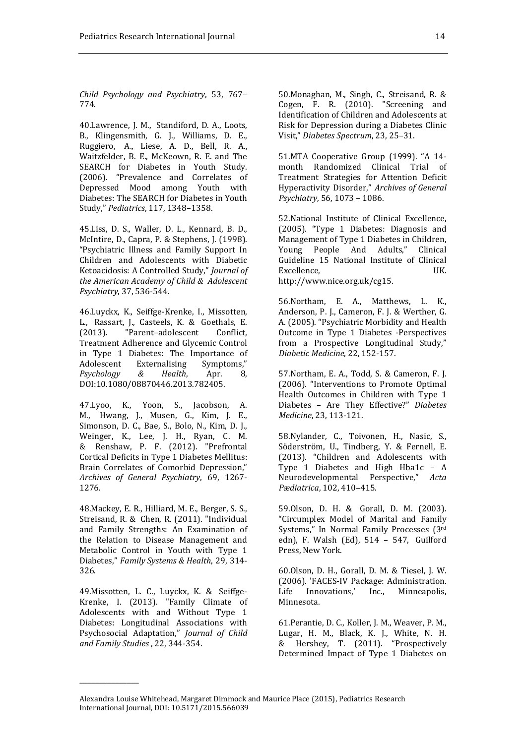*Child Psychology and Psychiatry*, 53, 767– 774.

40.Lawrence, J. M., Standiford, D. A., Loots, B., Klingensmith, G. J., Williams, D. E., Ruggiero, A., Liese, A. D., Bell, R. A., Waitzfelder, B. E., McKeown, R. E. and The SEARCH for Diabetes in Youth Study. (2006). "Prevalence and Correlates of Depressed Mood among Youth with Diabetes: The SEARCH for Diabetes in Youth Study," *Pediatrics*, 117, 1348–1358.

45.Liss, D. S., Waller, D. L., Kennard, B. D., McIntire, D., Capra, P. & Stephens, J. (1998). "Psychiatric Illness and Family Support In Children and Adolescents with Diabetic Ketoacidosis: A Controlled Study," *Journal of the American Academy of Child & Adolescent Psychiatry*, 37, 536-544.

46.Luyckx, K., Seiffge-Krenke, I., Missotten, L., Rassart, J., Casteels, K. & Goethals, E. (2013). "Parent–adolescent Conflict, Treatment Adherence and Glycemic Control in Type 1 Diabetes: The Importance of Adolescent Externalising Symptoms," *Psychology & Health*, Apr. 8, DOI:10.1080/08870446.2013.782405.

47.Lyoo, K., Yoon, S., Jacobson, A. M., Hwang, J., Musen, G., Kim, J. E., Simonson, D. C., Bae, S., Bolo, N., Kim, D. J., Weinger, K., Lee, J. H., Ryan, C. M. & Renshaw, P. F. (2012). "Prefrontal Cortical Deficits in Type 1 Diabetes Mellitus: Brain Correlates of Comorbid Depression," *Archives of General Psychiatry*, 69, 1267- 1276.

48.Mackey, E. R., Hilliard, M. E., Berger, S. S., Streisand, R. & Chen, R. (2011). "Individual and Family Strengths: An Examination of the Relation to Disease Management and Metabolic Control in Youth with Type 1 Diabetes," *Family Systems & Health*, 29, 314- 326.

49.Missotten, L. C., Luyckx, K. & Seiffge-Krenke, I. (2013). "Family Climate of Adolescents with and Without Type 1 Diabetes: Longitudinal Associations with Psychosocial Adaptation," *Journal of Child and Family Studies* , 22, 344-354.

\_\_\_\_\_\_\_\_\_\_\_\_\_\_\_

50.Monaghan, M., Singh, C., Streisand, R. & Cogen, F. R. (2010). "Screening and Identification of Children and Adolescents at Risk for Depression during a Diabetes Clinic Visit," *Diabetes Spectrum*, 23, 25–31.

51.MTA Cooperative Group (1999). "A 14 month Randomized Clinical Trial of Treatment Strategies for Attention Deficit Hyperactivity Disorder," *Archives of General Psychiatry*, 56, 1073 – 1086.

52.National Institute of Clinical Excellence, (2005). "Type 1 Diabetes: Diagnosis and Management of Type 1 Diabetes in Children, Young People And Adults," Clinical Guideline 15 National Institute of Clinical Excellence, UK. http://www.nice.org.uk/cg15.

56.Northam, E. A., Matthews, L. K., Anderson, P. J., Cameron, F. J. & Werther, G. A. (2005). "Psychiatric Morbidity and Health Outcome in Type 1 Diabetes -Perspectives from a Prospective Longitudinal Study," *Diabetic Medicine*, 22, 152-157.

57.Northam, E. A., Todd, S. & Cameron, F. J. (2006). "Interventions to Promote Optimal Health Outcomes in Children with Type 1 Diabetes – Are They Effective?" *Diabetes Medicine*, 23, 113-121.

58.Nylander, C., Toivonen, H., Nasic, S., Söderström, U., Tindberg, Y. & Fernell, E. (2013). "Children and Adolescents with Type 1 Diabetes and High Hba1c – A Neurodevelopmental Perspective," *Acta Pædiatrica*, 102, 410–415.

59.Olson, D. H. & Gorall, D. M. (2003). "Circumplex Model of Marital and Family Systems," In Normal Family Processes (3rd edn), F. Walsh (Ed), 514 – 547, Guilford Press, New York.

60.Olson, D. H., Gorall, D. M. & Tiesel, J. W. (2006). 'FACES-IV Package: Administration. Life Innovations,' Inc., Minneapolis, Minnesota.

61.Perantie, D. C., Koller, J. M., Weaver, P. M., Lugar, H. M., Black, K. J., White, N. H. & Hershey, T. (2011). "Prospectively Determined Impact of Type 1 Diabetes on

Alexandra Louise Whitehead, Margaret Dimmock and Maurice Place (2015), Pediatrics Research International Journal*,* DOI: 10.5171/2015.566039